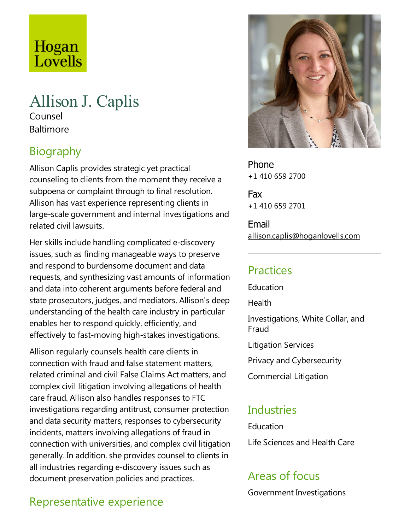# Hogan Lovells

# Allison J. Caplis

Counsel **Baltimore** 

# Biography

Allison Caplis provides strategic yet practical counseling to clients from the moment they receive a subpoena or complaint through to final resolution. Allison has vast experience representing clients in large-scale government and internal investigations and related civil lawsuits.

Her skills include handling complicated e-discovery issues, such as finding manageable ways to preserve and respond to burdensome document and data requests, and synthesizing vast amounts of information and data into coherent arguments before federal and state prosecutors, judges, and mediators. Allison's deep understanding of the health care industry in particular enables her to respond quickly, efficiently, and effectively to fast-moving high-stakes investigations.

Allison regularly counsels health care clients in connection with fraud and false statement matters, related criminal and civil False Claims Act matters, and complex civil litigation involving allegations of health care fraud. Allison also handles responses to FTC investigations regarding antitrust, consumer protection and data security matters, responses to cybersecurity incidents, matters involving allegations of fraud in connection with universities, and complex civil litigation generally. In addition, she provides counsel to clients in all industries regarding e-discovery issues such as document preservation policies and practices.

# Phone +1 410 659 2700 Fax

+1 410 659 2701

Email allison.caplis@hoganlovells.com

# Practices

Education

Health

Investigations, White Collar, and Fraud

Litigation Services

Privacy and Cybersecurity

Commercial Litigation

## Industries

Education

Life Sciences and Health Care

# Areas of focus

Government Investigations

# Representative experience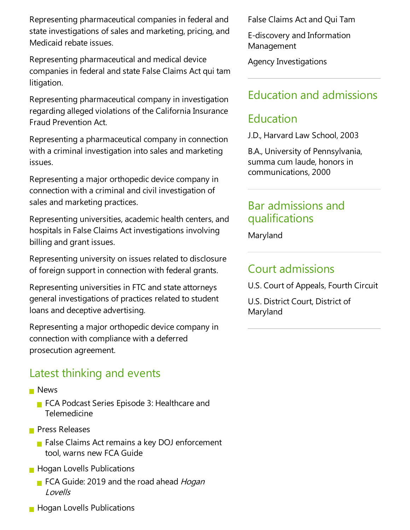Representing pharmaceutical companies in federal and state investigations of sales and marketing, pricing, and Medicaid rebate issues.

Representing pharmaceutical and medical device companies in federal and state False Claims Act qui tam litigation.

Representing pharmaceutical company in investigation regarding alleged violations of the California Insurance Fraud Prevention Act.

Representing a pharmaceutical company in connection with a criminal investigation into sales and marketing issues.

Representing a major orthopedic device company in connection with a criminal and civil investigation of sales and marketing practices.

Representing universities, academic health centers, and hospitals in False Claims Act investigations involving billing and grant issues.

Representing university on issues related to disclosure of foreign support in connection with federal grants.

Representing universities in FTC and state attorneys general investigations of practices related to student loans and deceptive advertising.

Representing a major orthopedic device company in connection with compliance with a deferred prosecution agreement.

## Latest thinking and events

- **News** 
	- FCA Podcast Series Episode 3: Healthcare and Telemedicine
- **Press Releases** 
	- False Claims Act remains a key DOJ enforcement tool, warns new FCA Guide
- **Hogan Lovells Publications** 
	- FCA Guide: 2019 and the road ahead Hogan Lovells
- **Hogan Lovells Publications**

False Claims Act and Qui Tam

E-discovery and Information Management

Agency Investigations

# Education and admissions

# Education

J.D., Harvard Law School, 2003

B.A., University of Pennsylvania, summa cum laude, honors in communications, 2000

#### Bar admissions and qualifications

Maryland

#### Court admissions

U.S. Court of Appeals, Fourth Circuit

U.S. District Court, District of Maryland